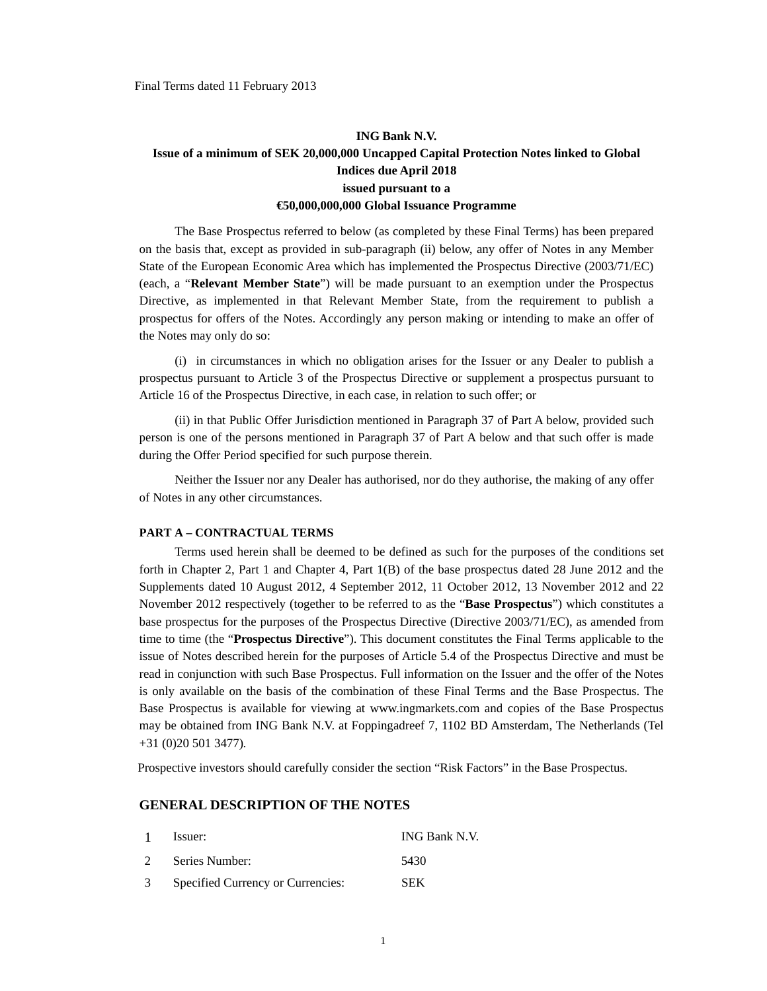## **ING Bank N.V. Issue of a minimum of SEK 20,000,000 Uncapped Capital Protection Notes linked to Global Indices due April 2018 issued pursuant to a €50,000,000,000 Global Issuance Programme**

The Base Prospectus referred to below (as completed by these Final Terms) has been prepared on the basis that, except as provided in sub-paragraph (ii) below, any offer of Notes in any Member State of the European Economic Area which has implemented the Prospectus Directive (2003/71/EC) (each, a "**Relevant Member State**") will be made pursuant to an exemption under the Prospectus Directive, as implemented in that Relevant Member State, from the requirement to publish a prospectus for offers of the Notes. Accordingly any person making or intending to make an offer of the Notes may only do so:

(i) in circumstances in which no obligation arises for the Issuer or any Dealer to publish a prospectus pursuant to Article 3 of the Prospectus Directive or supplement a prospectus pursuant to Article 16 of the Prospectus Directive, in each case, in relation to such offer; or

(ii) in that Public Offer Jurisdiction mentioned in Paragraph 37 of Part A below, provided such person is one of the persons mentioned in Paragraph 37 of Part A below and that such offer is made during the Offer Period specified for such purpose therein.

Neither the Issuer nor any Dealer has authorised, nor do they authorise, the making of any offer of Notes in any other circumstances.

#### **PART A – CONTRACTUAL TERMS**

Terms used herein shall be deemed to be defined as such for the purposes of the conditions set forth in Chapter 2, Part 1 and Chapter 4, Part 1(B) of the base prospectus dated 28 June 2012 and the Supplements dated 10 August 2012, 4 September 2012, 11 October 2012, 13 November 2012 and 22 November 2012 respectively (together to be referred to as the "**Base Prospectus**") which constitutes a base prospectus for the purposes of the Prospectus Directive (Directive 2003/71/EC), as amended from time to time (the "**Prospectus Directive**"). This document constitutes the Final Terms applicable to the issue of Notes described herein for the purposes of Article 5.4 of the Prospectus Directive and must be read in conjunction with such Base Prospectus. Full information on the Issuer and the offer of the Notes is only available on the basis of the combination of these Final Terms and the Base Prospectus. The Base Prospectus is available for viewing at www.ingmarkets.com and copies of the Base Prospectus may be obtained from ING Bank N.V. at Foppingadreef 7, 1102 BD Amsterdam, The Netherlands (Tel +31 (0)20 501 3477)*.* 

Prospective investors should carefully consider the section "Risk Factors" in the Base Prospectus*.* 

## **GENERAL DESCRIPTION OF THE NOTES**

|               | Issuer:                           | ING Bank N.V. |
|---------------|-----------------------------------|---------------|
| 2             | Series Number:                    | 5430          |
| $\mathcal{R}$ | Specified Currency or Currencies: | <b>SEK</b>    |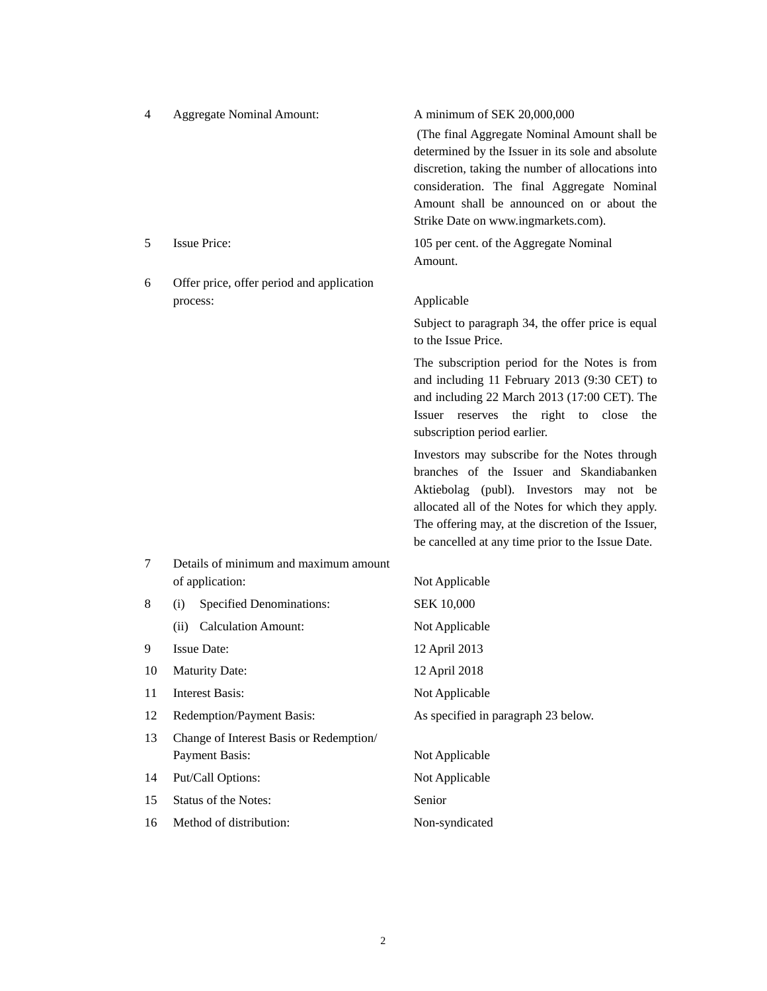| 4  | <b>Aggregate Nominal Amount:</b>          | A minimum of SEK 20,000,000                                                                   |
|----|-------------------------------------------|-----------------------------------------------------------------------------------------------|
|    |                                           | (The final Aggregate Nominal Amount shall be                                                  |
|    |                                           | determined by the Issuer in its sole and absolute                                             |
|    |                                           | discretion, taking the number of allocations into                                             |
|    |                                           | consideration. The final Aggregate Nominal<br>Amount shall be announced on or about the       |
|    |                                           | Strike Date on www.ingmarkets.com).                                                           |
| 5  | <b>Issue Price:</b>                       | 105 per cent. of the Aggregate Nominal                                                        |
|    |                                           | Amount.                                                                                       |
| 6  | Offer price, offer period and application |                                                                                               |
|    | process:                                  | Applicable                                                                                    |
|    |                                           | Subject to paragraph 34, the offer price is equal<br>to the Issue Price.                      |
|    |                                           | The subscription period for the Notes is from<br>and including 11 February 2013 (9:30 CET) to |
|    |                                           | and including 22 March 2013 (17:00 CET). The                                                  |
|    |                                           | Issuer reserves the right to close<br>the                                                     |
|    |                                           | subscription period earlier.                                                                  |
|    |                                           | Investors may subscribe for the Notes through                                                 |
|    |                                           | branches of the Issuer and Skandiabanken<br>Aktiebolag (publ). Investors may not be           |
|    |                                           | allocated all of the Notes for which they apply.                                              |
|    |                                           | The offering may, at the discretion of the Issuer,                                            |
|    |                                           | be cancelled at any time prior to the Issue Date.                                             |
| 7  | Details of minimum and maximum amount     |                                                                                               |
|    | of application:                           | Not Applicable                                                                                |
| 8  | (i)<br><b>Specified Denominations:</b>    | <b>SEK 10,000</b>                                                                             |
|    | <b>Calculation Amount:</b><br>(ii)        | Not Applicable                                                                                |
| 9  | <b>Issue Date:</b>                        | 12 April 2013                                                                                 |
| 10 | <b>Maturity Date:</b>                     | 12 April 2018                                                                                 |
| 11 | <b>Interest Basis:</b>                    | Not Applicable                                                                                |
| 12 | Redemption/Payment Basis:                 | As specified in paragraph 23 below.                                                           |
| 13 | Change of Interest Basis or Redemption/   |                                                                                               |
|    | Payment Basis:                            | Not Applicable                                                                                |
| 14 | Put/Call Options:                         | Not Applicable                                                                                |
| 15 | Status of the Notes:                      | Senior                                                                                        |
| 16 | Method of distribution:                   | Non-syndicated                                                                                |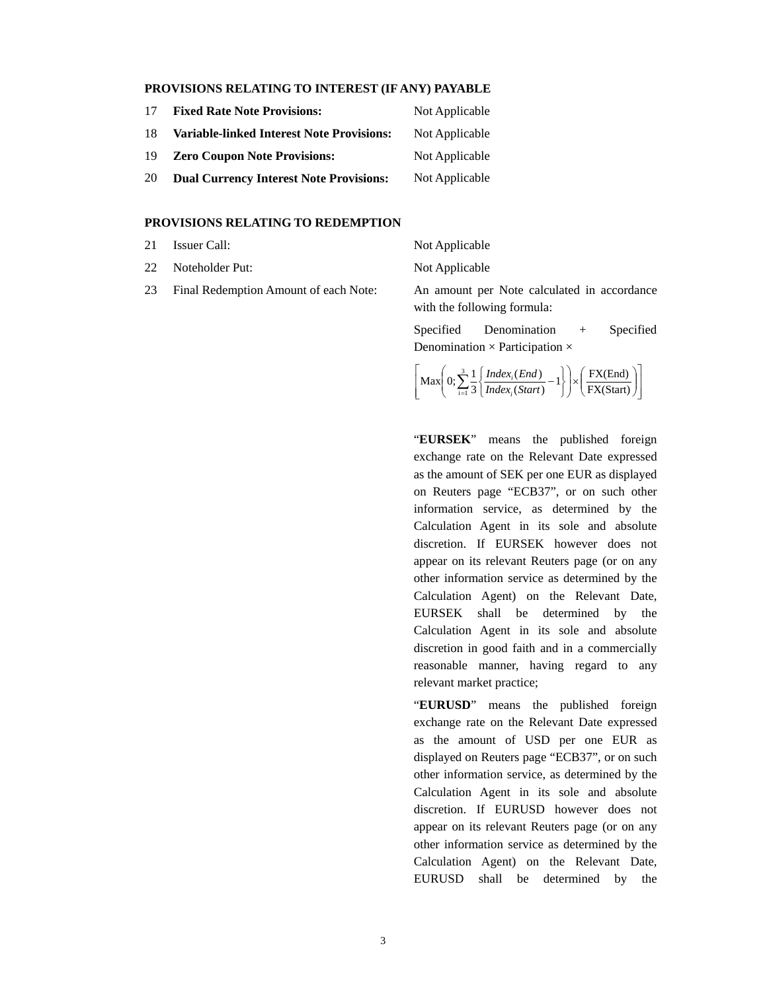#### **PROVISIONS RELATING TO INTEREST (IF ANY) PAYABLE**

| 17 | <b>Fixed Rate Note Provisions:</b>               | Not Applicable |
|----|--------------------------------------------------|----------------|
| 18 | <b>Variable-linked Interest Note Provisions:</b> | Not Applicable |
| 19 | <b>Zero Coupon Note Provisions:</b>              | Not Applicable |
| 20 | <b>Dual Currency Interest Note Provisions:</b>   | Not Applicable |

#### **PROVISIONS RELATING TO REDEMPTION**

- 21 Issuer Call: Not Applicable
- 22 Noteholder Put: Not Applicable
- 

23 Final Redemption Amount of each Note: An amount per Note calculated in accordance with the following formula:

> Specified Denomination + Specified Denomination  $\times$  Participation  $\times$

$$
\left[\text{Max}\!\left(0;\sum_{i=1}^3\frac{1}{3}\!\left\{\frac{\text{Index}_i(\text{End})}{\text{Index}_i(\text{Start})}-1\right\}\right)\times\!\left(\frac{\text{FX}(\text{End})}{\text{FX}(\text{Start})}\right)\right]
$$

"**EURSEK**" means the published foreign exchange rate on the Relevant Date expressed as the amount of SEK per one EUR as displayed on Reuters page "ECB37", or on such other information service, as determined by the Calculation Agent in its sole and absolute discretion. If EURSEK however does not appear on its relevant Reuters page (or on any other information service as determined by the Calculation Agent) on the Relevant Date, EURSEK shall be determined by the Calculation Agent in its sole and absolute discretion in good faith and in a commercially reasonable manner, having regard to any relevant market practice;

"**EURUSD**" means the published foreign exchange rate on the Relevant Date expressed as the amount of USD per one EUR as displayed on Reuters page "ECB37", or on such other information service, as determined by the Calculation Agent in its sole and absolute discretion. If EURUSD however does not appear on its relevant Reuters page (or on any other information service as determined by the Calculation Agent) on the Relevant Date, EURUSD shall be determined by the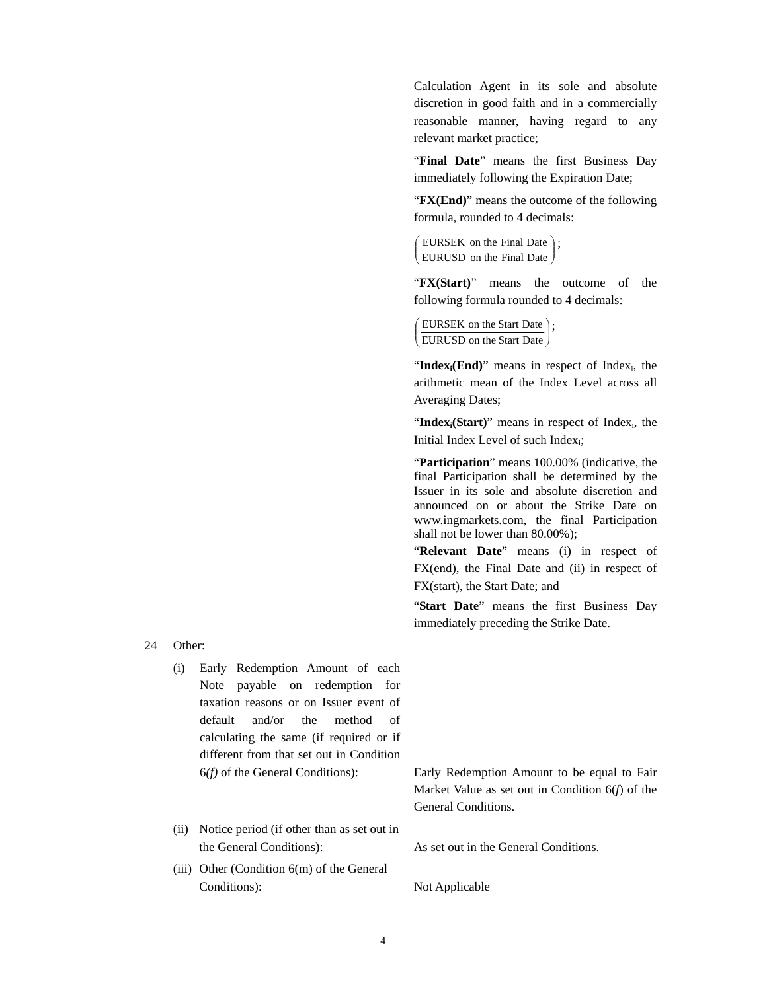Calculation Agent in its sole and absolute discretion in good faith and in a commercially reasonable manner, having regard to any relevant market practice;

"**Final Date**" means the first Business Day immediately following the Expiration Date;

"**FX(End)**" means the outcome of the following formula, rounded to 4 decimals:

```
\left(\frac{\text{ECKSLEV on the Final Date}}{\text{EURUSD on the Final Date}}\right)\left(\frac{\text{EURSEK}}{\text{THEOREK}}\right);
EURUSD on the Final Date
```
"**FX(Start)**" means the outcome of the following formula rounded to 4 decimals:

```
\left(\frac{\text{EORSLK of the Sdat Date}}{\text{EURUSD on the Start Date}}\right)\left( EURSEK on the Start Date \right);

EURUSD on the Start Date
```
"Index<sub>i</sub>(End)" means in respect of Index<sub>i</sub>, the arithmetic mean of the Index Level across all Averaging Dates;

"Index<sub>i</sub>(Start)" means in respect of Index<sub>i</sub>, the Initial Index Level of such Indexi;

"**Participation**" means 100.00% (indicative, the final Participation shall be determined by the Issuer in its sole and absolute discretion and announced on or about the Strike Date on www.ingmarkets.com, the final Participation shall not be lower than 80.00%);

"**Relevant Date**" means (i) in respect of FX(end), the Final Date and (ii) in respect of FX(start), the Start Date; and

"**Start Date**" means the first Business Day immediately preceding the Strike Date.

24 Other:

- (i) Early Redemption Amount of each Note payable on redemption for taxation reasons or on Issuer event of default and/or the method of calculating the same (if required or if different from that set out in Condition
- (ii) Notice period (if other than as set out in the General Conditions): As set out in the General Conditions.
- (iii) Other (Condition 6(m) of the General Conditions): Not Applicable

6*(f)* of the General Conditions): Early Redemption Amount to be equal to Fair Market Value as set out in Condition 6(*f*) of the General Conditions.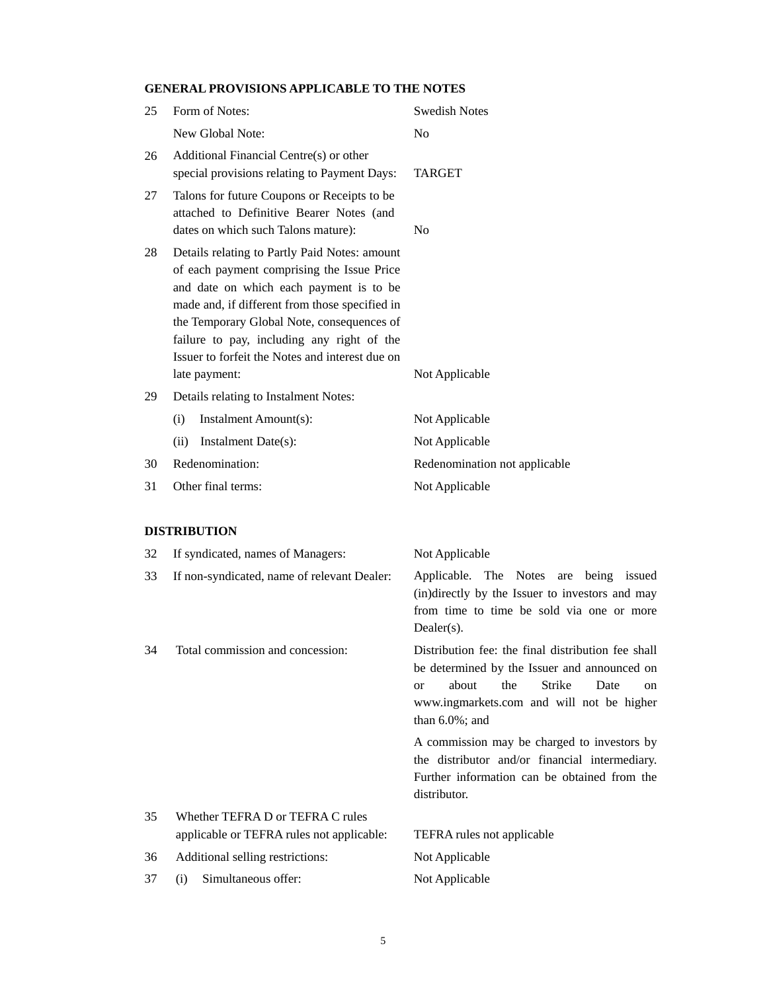## **GENERAL PROVISIONS APPLICABLE TO THE NOTES**

| 25 | Form of Notes:                                                                                                                                                                                                                                                                                                                                           | <b>Swedish Notes</b>                                                                            |
|----|----------------------------------------------------------------------------------------------------------------------------------------------------------------------------------------------------------------------------------------------------------------------------------------------------------------------------------------------------------|-------------------------------------------------------------------------------------------------|
|    | New Global Note:                                                                                                                                                                                                                                                                                                                                         | N <sub>0</sub>                                                                                  |
| 26 | Additional Financial Centre(s) or other<br>special provisions relating to Payment Days:                                                                                                                                                                                                                                                                  | <b>TARGET</b>                                                                                   |
| 27 | Talons for future Coupons or Receipts to be<br>attached to Definitive Bearer Notes (and<br>dates on which such Talons mature):                                                                                                                                                                                                                           | N <sub>0</sub>                                                                                  |
| 28 | Details relating to Partly Paid Notes: amount<br>of each payment comprising the Issue Price<br>and date on which each payment is to be<br>made and, if different from those specified in<br>the Temporary Global Note, consequences of<br>failure to pay, including any right of the<br>Issuer to forfeit the Notes and interest due on<br>late payment: | Not Applicable                                                                                  |
| 29 | Details relating to Instalment Notes:                                                                                                                                                                                                                                                                                                                    |                                                                                                 |
|    | Instalment Amount(s):<br>(i)                                                                                                                                                                                                                                                                                                                             | Not Applicable                                                                                  |
|    | Instalment Date(s):<br>(ii)                                                                                                                                                                                                                                                                                                                              | Not Applicable                                                                                  |
| 30 | Redenomination:                                                                                                                                                                                                                                                                                                                                          | Redenomination not applicable                                                                   |
| 31 | Other final terms:                                                                                                                                                                                                                                                                                                                                       | Not Applicable                                                                                  |
|    | <b>DISTRIBUTION</b>                                                                                                                                                                                                                                                                                                                                      |                                                                                                 |
| 32 | If syndicated, names of Managers:                                                                                                                                                                                                                                                                                                                        | Not Applicable                                                                                  |
| 33 | If non-syndicated, name of relevant Dealer:                                                                                                                                                                                                                                                                                                              | Applicable. The Notes<br>being issued<br>are<br>(in)directly by the Issuer to investors and may |

from time to time be sold via one or more Dealer(s). 34 Total commission and concession: Distribution fee: the final distribution fee shall

be determined by the Issuer and announced on or about the Strike Date on www.ingmarkets.com and will not be higher than 6.0%; and

A commission may be charged to investors by the distributor and/or financial intermediary. Further information can be obtained from the distributor.

| 35   | Whether TEFRA D or TEFRA C rules          |                            |
|------|-------------------------------------------|----------------------------|
|      | applicable or TEFRA rules not applicable: | TEFRA rules not applicable |
| 36   | Additional selling restrictions:          | Not Applicable             |
| 37 — | (i) Simultaneous offer:                   | Not Applicable             |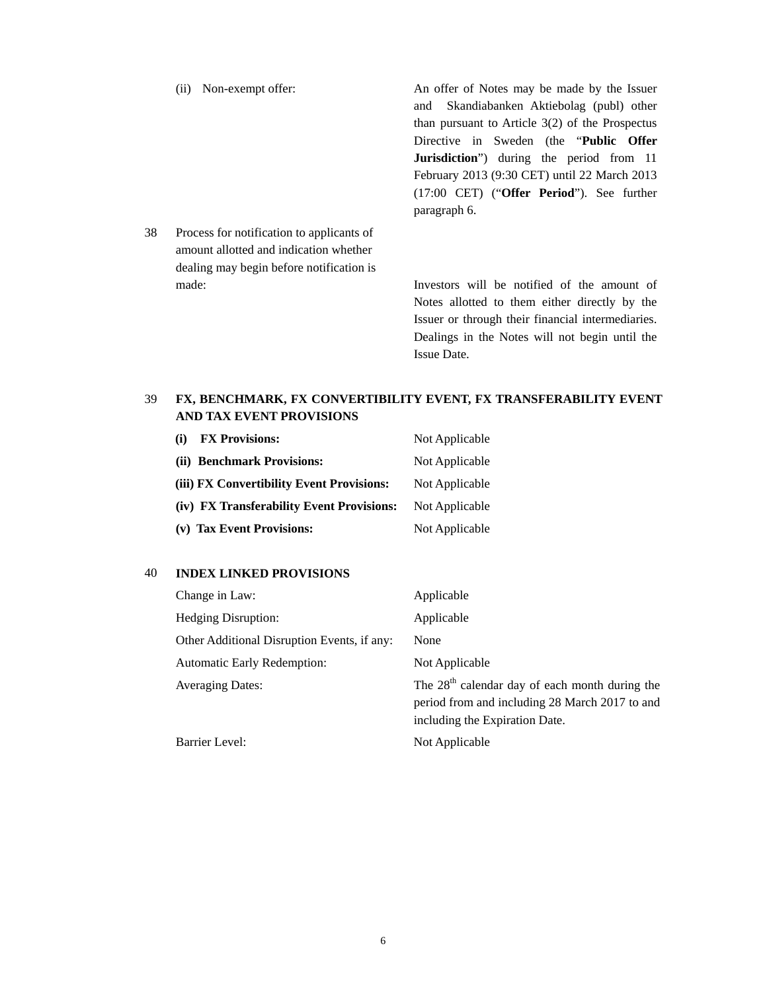|     | Non-exempt offer:<br>(ii)                 | An offer of Notes may be made by the Issuer         |
|-----|-------------------------------------------|-----------------------------------------------------|
|     |                                           | Skandiabanken Aktiebolag (publ) other<br>and        |
|     |                                           | than pursuant to Article $3(2)$ of the Prospectus   |
|     |                                           | Directive in Sweden (the " <b>Public Offer</b>      |
|     |                                           | <b>Jurisdiction</b> ") during the period from 11    |
|     |                                           | February 2013 (9:30 CET) until 22 March 2013        |
|     |                                           | $(17:00 \text{ CET})$ ("Offer Period"). See further |
|     |                                           | paragraph 6.                                        |
| 38. | Process for notification to applicants of |                                                     |
|     | amount allotted and indication whether    |                                                     |
|     | dealing may begin before notification is  |                                                     |
|     | made:                                     | Investors will be notified of the amount of         |
|     |                                           | Notes allotted to them either directly by the       |
|     |                                           |                                                     |

Notes allotted to them either directly by the Issuer or through their financial intermediaries. Dealings in the Notes will not begin until the Issue Date.

## 39 **FX, BENCHMARK, FX CONVERTIBILITY EVENT, FX TRANSFERABILITY EVENT AND TAX EVENT PROVISIONS**

| <b>FX Provisions:</b><br>(i)              | Not Applicable |
|-------------------------------------------|----------------|
| (ii) Benchmark Provisions:                | Not Applicable |
| (iii) FX Convertibility Event Provisions: | Not Applicable |
| (iv) FX Transferability Event Provisions: | Not Applicable |
| (v) Tax Event Provisions:                 | Not Applicable |
|                                           |                |

## 40 **INDEX LINKED PROVISIONS**

| Change in Law:                              | Applicable                                                                                                                           |
|---------------------------------------------|--------------------------------------------------------------------------------------------------------------------------------------|
| <b>Hedging Disruption:</b>                  | Applicable                                                                                                                           |
| Other Additional Disruption Events, if any: | None                                                                                                                                 |
| <b>Automatic Early Redemption:</b>          | Not Applicable                                                                                                                       |
| <b>Averaging Dates:</b>                     | The $28th$ calendar day of each month during the<br>period from and including 28 March 2017 to and<br>including the Expiration Date. |
| Barrier Level:                              | Not Applicable                                                                                                                       |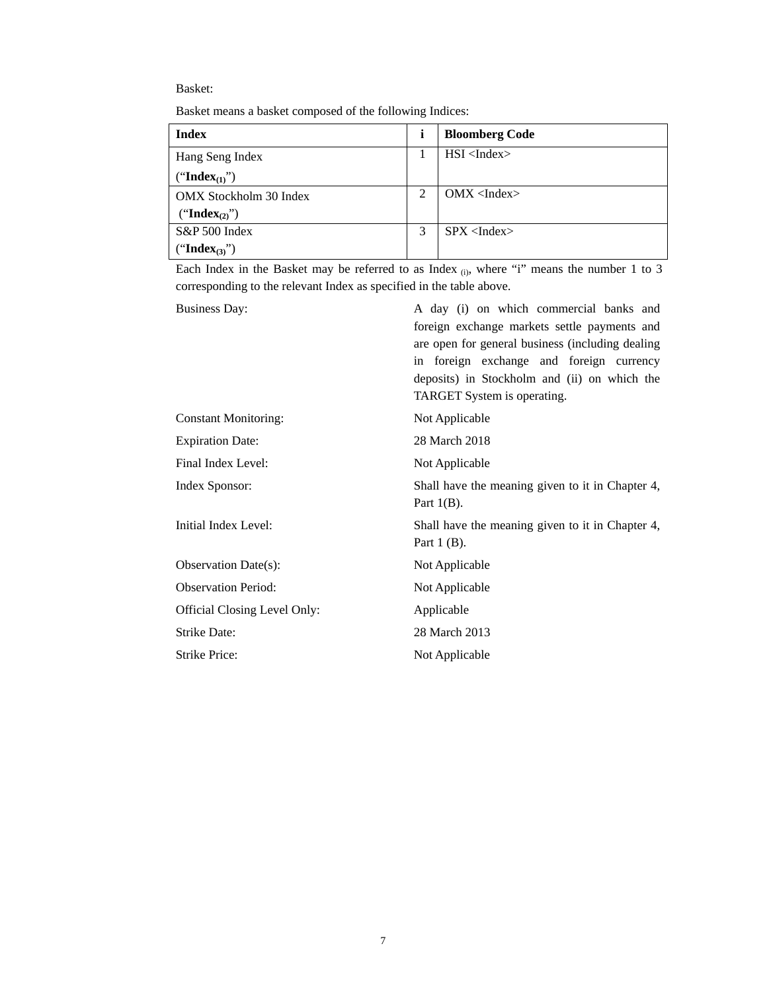### Basket:

| Basket means a basket composed of the following Indices: |  |  |
|----------------------------------------------------------|--|--|
|                                                          |  |  |

| Index                     |                | <b>Bloomberg Code</b> |
|---------------------------|----------------|-----------------------|
| Hang Seng Index           |                | $HSI$ <index></index> |
| ("Index $_{(1)}$ ")       |                |                       |
| OMX Stockholm 30 Index    | $\overline{2}$ | $OMX$ <index></index> |
| ("Index <sub>(2)</sub> ") |                |                       |
| S&P 500 Index             | 3              | SPX < Index           |
| ("Index <sub>(3)</sub> ") |                |                       |

Each Index in the Basket may be referred to as Index (i), where "i" means the number 1 to 3 corresponding to the relevant Index as specified in the table above.

| <b>Business Day:</b>                | A day (i) on which commercial banks and<br>foreign exchange markets settle payments and<br>are open for general business (including dealing<br>in foreign exchange and foreign currency<br>deposits) in Stockholm and (ii) on which the<br>TARGET System is operating. |
|-------------------------------------|------------------------------------------------------------------------------------------------------------------------------------------------------------------------------------------------------------------------------------------------------------------------|
| <b>Constant Monitoring:</b>         | Not Applicable                                                                                                                                                                                                                                                         |
| <b>Expiration Date:</b>             | 28 March 2018                                                                                                                                                                                                                                                          |
| Final Index Level:                  | Not Applicable                                                                                                                                                                                                                                                         |
| Index Sponsor:                      | Shall have the meaning given to it in Chapter 4,<br>Part $1(B)$ .                                                                                                                                                                                                      |
| Initial Index Level:                | Shall have the meaning given to it in Chapter 4,<br>Part $1$ (B).                                                                                                                                                                                                      |
| Observation Date(s):                | Not Applicable                                                                                                                                                                                                                                                         |
| <b>Observation Period:</b>          | Not Applicable                                                                                                                                                                                                                                                         |
| <b>Official Closing Level Only:</b> | Applicable                                                                                                                                                                                                                                                             |
| <b>Strike Date:</b>                 | 28 March 2013                                                                                                                                                                                                                                                          |
| <b>Strike Price:</b>                | Not Applicable                                                                                                                                                                                                                                                         |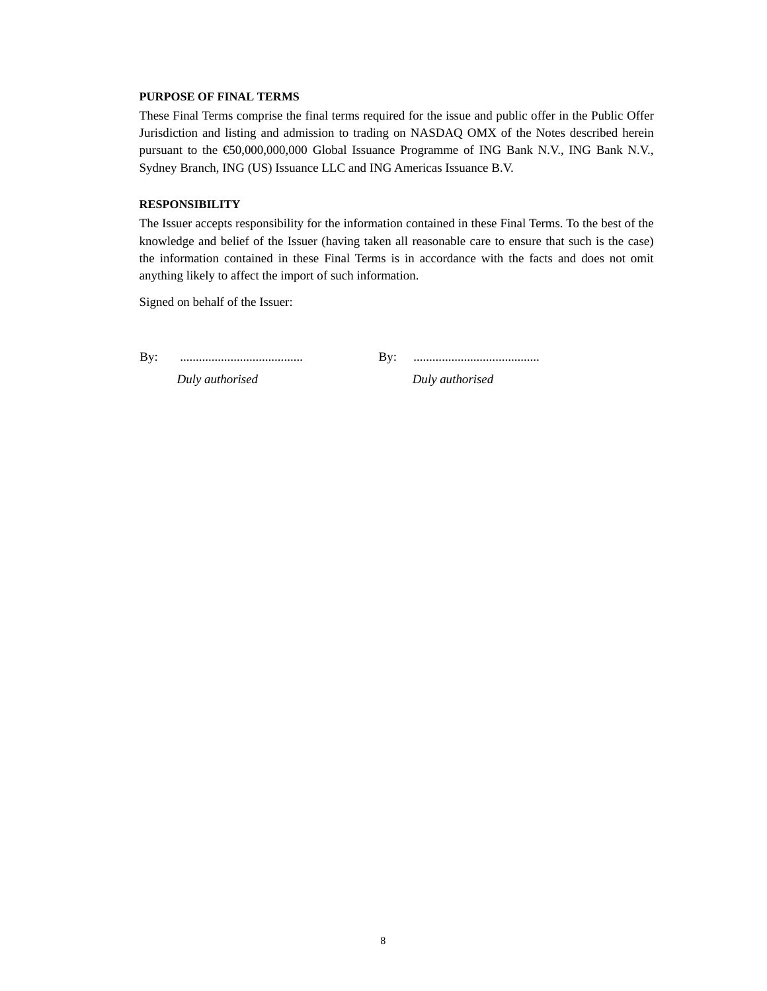#### **PURPOSE OF FINAL TERMS**

These Final Terms comprise the final terms required for the issue and public offer in the Public Offer Jurisdiction and listing and admission to trading on NASDAQ OMX of the Notes described herein pursuant to the €50,000,000,000 Global Issuance Programme of ING Bank N.V., ING Bank N.V., Sydney Branch, ING (US) Issuance LLC and ING Americas Issuance B.V.

#### **RESPONSIBILITY**

The Issuer accepts responsibility for the information contained in these Final Terms. To the best of the knowledge and belief of the Issuer (having taken all reasonable care to ensure that such is the case) the information contained in these Final Terms is in accordance with the facts and does not omit anything likely to affect the import of such information.

Signed on behalf of the Issuer:

By: ....................................... By: ........................................

*Duly authorised Duly authorised*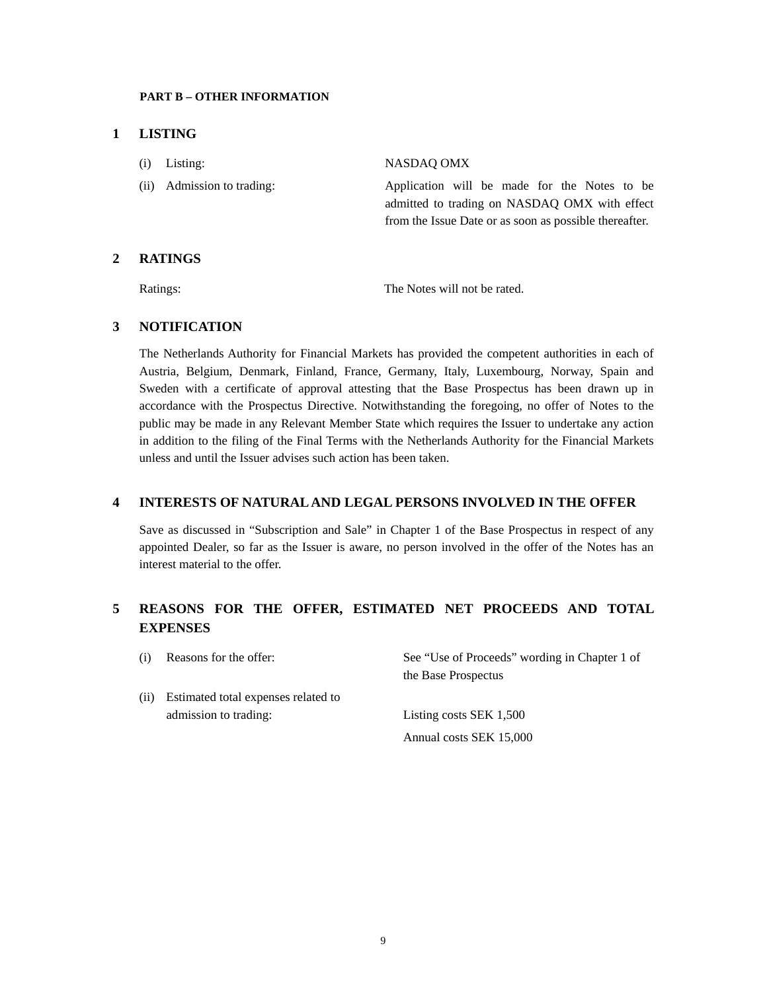#### **PART B – OTHER INFORMATION**

#### **1 LISTING**

| $(i)$ Listing:             | NASDAO OMX                                                                                                                                              |
|----------------------------|---------------------------------------------------------------------------------------------------------------------------------------------------------|
| (ii) Admission to trading: | Application will be made for the Notes to be<br>admitted to trading on NASDAQ OMX with effect<br>from the Issue Date or as soon as possible thereafter. |

## **2 RATINGS**

Ratings: The Notes will not be rated.

## **3 NOTIFICATION**

The Netherlands Authority for Financial Markets has provided the competent authorities in each of Austria, Belgium, Denmark, Finland, France, Germany, Italy, Luxembourg, Norway, Spain and Sweden with a certificate of approval attesting that the Base Prospectus has been drawn up in accordance with the Prospectus Directive. Notwithstanding the foregoing, no offer of Notes to the public may be made in any Relevant Member State which requires the Issuer to undertake any action in addition to the filing of the Final Terms with the Netherlands Authority for the Financial Markets unless and until the Issuer advises such action has been taken.

### **4 INTERESTS OF NATURAL AND LEGAL PERSONS INVOLVED IN THE OFFER**

Save as discussed in "Subscription and Sale" in Chapter 1 of the Base Prospectus in respect of any appointed Dealer, so far as the Issuer is aware, no person involved in the offer of the Notes has an interest material to the offer.

# **5 REASONS FOR THE OFFER, ESTIMATED NET PROCEEDS AND TOTAL EXPENSES**

| (i)  | Reasons for the offer:                                       | See "Use of Proceeds" wording in Chapter 1 of<br>the Base Prospectus |
|------|--------------------------------------------------------------|----------------------------------------------------------------------|
| (ii) | Estimated total expenses related to<br>admission to trading: | Listing costs SEK 1,500                                              |
|      |                                                              | Annual costs SEK 15,000                                              |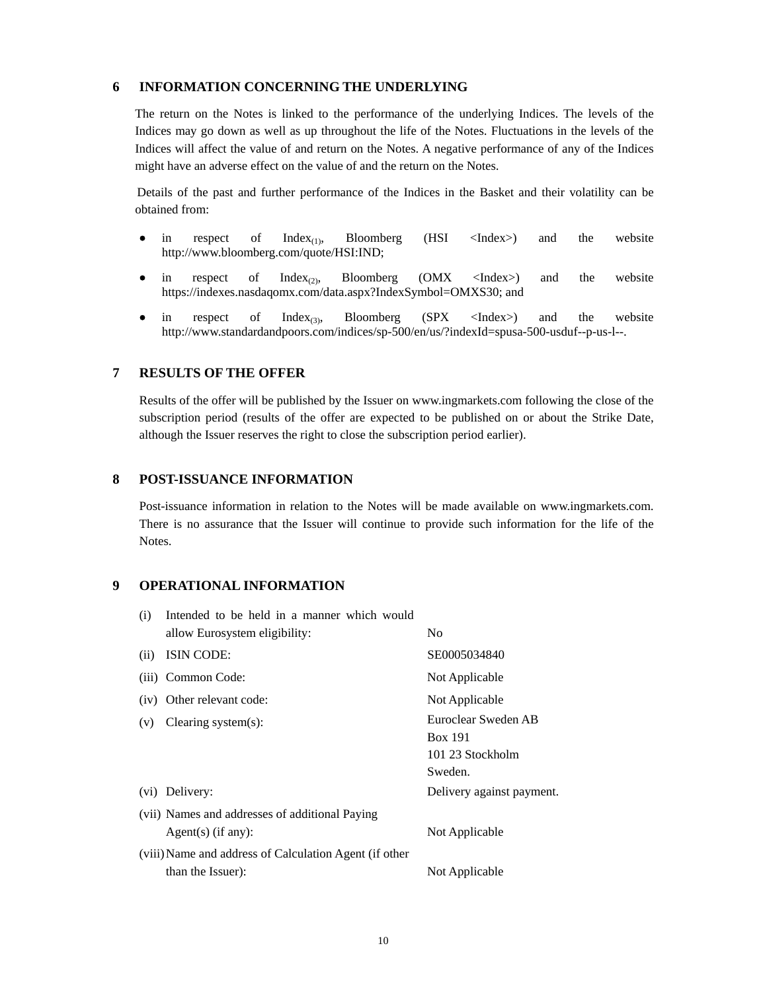#### **6 INFORMATION CONCERNING THE UNDERLYING**

The return on the Notes is linked to the performance of the underlying Indices. The levels of the Indices may go down as well as up throughout the life of the Notes. Fluctuations in the levels of the Indices will affect the value of and return on the Notes. A negative performance of any of the Indices might have an adverse effect on the value of and the return on the Notes.

Details of the past and further performance of the Indices in the Basket and their volatility can be obtained from:

- in respect of  $Index_{(1)}$ , Bloomberg (HSI <Index>) and the website http://www.bloomberg.com/quote/HSI:IND;
- in respect of  $Index_{(2)}$ , Bloomberg (OMX <Index>) and the website https://indexes.nasdaqomx.com/data.aspx?IndexSymbol=OMXS30; and
- in respect of  $Index_{(3)}$ , Bloomberg (SPX <Index>) and the website http://www.standardandpoors.com/indices/sp-500/en/us/?indexId=spusa-500-usduf--p-us-l--.

#### **7 RESULTS OF THE OFFER**

Results of the offer will be published by the Issuer on www.ingmarkets.com following the close of the subscription period (results of the offer are expected to be published on or about the Strike Date, although the Issuer reserves the right to close the subscription period earlier).

#### **8 POST-ISSUANCE INFORMATION**

Post-issuance information in relation to the Notes will be made available on www.ingmarkets.com. There is no assurance that the Issuer will continue to provide such information for the life of the Notes.

## **9 OPERATIONAL INFORMATION**

| (i)  | Intended to be held in a manner which would<br>allow Eurosystem eligibility: | No                                                                   |
|------|------------------------------------------------------------------------------|----------------------------------------------------------------------|
| (ii) | ISIN CODE:                                                                   | SE0005034840                                                         |
|      | (iii) Common Code:                                                           | Not Applicable                                                       |
|      | (iv) Other relevant code:                                                    | Not Applicable                                                       |
| (v)  | Clearing system $(s)$ :                                                      | Euroclear Sweden AB<br><b>Box 191</b><br>101 23 Stockholm<br>Sweden. |
|      | (vi) Delivery:                                                               | Delivery against payment.                                            |
|      | (vii) Names and addresses of additional Paying<br>$Agent(s)$ (if any):       | Not Applicable                                                       |
|      | (viii) Name and address of Calculation Agent (if other<br>than the Issuer):  | Not Applicable                                                       |